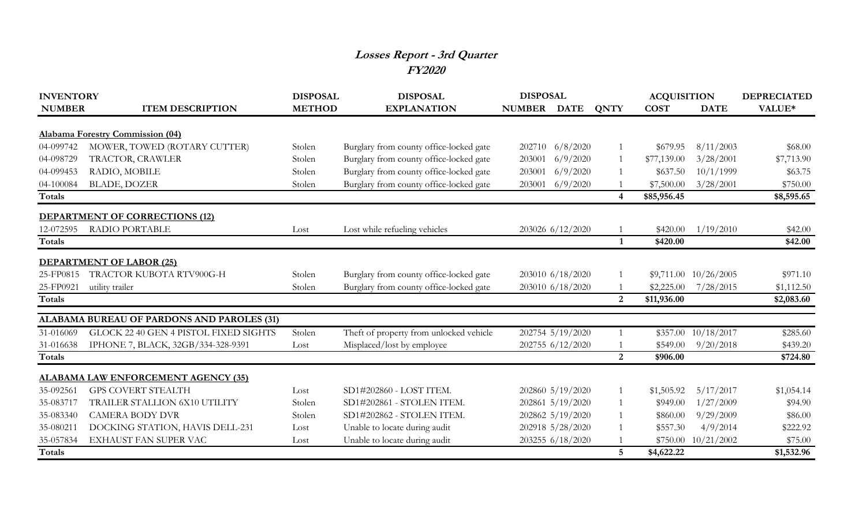## **Losses Report - 3rd Quarter FY2020**

| <b>INVENTORY</b>                      |                                                                                                                                                                                                                                                                                                                                                                                                                                                                                                                                                                       | <b>DISPOSAL</b>                                                                                                                   |                                                                                                                                                                                                                                                                                                                                                                                                                                                                                                                                 |                  |                                | <b>ACQUISITION</b>                                                                                                                                                                                                                                                                                                                           |                                                                                                                                                                        | <b>DEPRECIATED</b>                                                                                                                                                                                 |
|---------------------------------------|-----------------------------------------------------------------------------------------------------------------------------------------------------------------------------------------------------------------------------------------------------------------------------------------------------------------------------------------------------------------------------------------------------------------------------------------------------------------------------------------------------------------------------------------------------------------------|-----------------------------------------------------------------------------------------------------------------------------------|---------------------------------------------------------------------------------------------------------------------------------------------------------------------------------------------------------------------------------------------------------------------------------------------------------------------------------------------------------------------------------------------------------------------------------------------------------------------------------------------------------------------------------|------------------|--------------------------------|----------------------------------------------------------------------------------------------------------------------------------------------------------------------------------------------------------------------------------------------------------------------------------------------------------------------------------------------|------------------------------------------------------------------------------------------------------------------------------------------------------------------------|----------------------------------------------------------------------------------------------------------------------------------------------------------------------------------------------------|
| <b>ITEM DESCRIPTION</b>               | <b>METHOD</b>                                                                                                                                                                                                                                                                                                                                                                                                                                                                                                                                                         | <b>EXPLANATION</b>                                                                                                                |                                                                                                                                                                                                                                                                                                                                                                                                                                                                                                                                 |                  | <b>QNTY</b>                    | <b>COST</b>                                                                                                                                                                                                                                                                                                                                  | <b>DATE</b>                                                                                                                                                            | VALUE*                                                                                                                                                                                             |
|                                       |                                                                                                                                                                                                                                                                                                                                                                                                                                                                                                                                                                       |                                                                                                                                   |                                                                                                                                                                                                                                                                                                                                                                                                                                                                                                                                 |                  |                                |                                                                                                                                                                                                                                                                                                                                              |                                                                                                                                                                        |                                                                                                                                                                                                    |
|                                       |                                                                                                                                                                                                                                                                                                                                                                                                                                                                                                                                                                       |                                                                                                                                   |                                                                                                                                                                                                                                                                                                                                                                                                                                                                                                                                 |                  |                                |                                                                                                                                                                                                                                                                                                                                              |                                                                                                                                                                        | \$68.00                                                                                                                                                                                            |
|                                       |                                                                                                                                                                                                                                                                                                                                                                                                                                                                                                                                                                       |                                                                                                                                   |                                                                                                                                                                                                                                                                                                                                                                                                                                                                                                                                 |                  |                                |                                                                                                                                                                                                                                                                                                                                              |                                                                                                                                                                        | \$7,713.90                                                                                                                                                                                         |
|                                       |                                                                                                                                                                                                                                                                                                                                                                                                                                                                                                                                                                       |                                                                                                                                   |                                                                                                                                                                                                                                                                                                                                                                                                                                                                                                                                 |                  |                                |                                                                                                                                                                                                                                                                                                                                              |                                                                                                                                                                        | \$63.75                                                                                                                                                                                            |
|                                       |                                                                                                                                                                                                                                                                                                                                                                                                                                                                                                                                                                       |                                                                                                                                   |                                                                                                                                                                                                                                                                                                                                                                                                                                                                                                                                 |                  |                                |                                                                                                                                                                                                                                                                                                                                              |                                                                                                                                                                        |                                                                                                                                                                                                    |
|                                       |                                                                                                                                                                                                                                                                                                                                                                                                                                                                                                                                                                       |                                                                                                                                   |                                                                                                                                                                                                                                                                                                                                                                                                                                                                                                                                 |                  |                                |                                                                                                                                                                                                                                                                                                                                              |                                                                                                                                                                        | \$750.00<br>\$8,595.65                                                                                                                                                                             |
|                                       |                                                                                                                                                                                                                                                                                                                                                                                                                                                                                                                                                                       |                                                                                                                                   |                                                                                                                                                                                                                                                                                                                                                                                                                                                                                                                                 |                  |                                |                                                                                                                                                                                                                                                                                                                                              |                                                                                                                                                                        |                                                                                                                                                                                                    |
|                                       |                                                                                                                                                                                                                                                                                                                                                                                                                                                                                                                                                                       |                                                                                                                                   |                                                                                                                                                                                                                                                                                                                                                                                                                                                                                                                                 |                  |                                |                                                                                                                                                                                                                                                                                                                                              |                                                                                                                                                                        |                                                                                                                                                                                                    |
| <b>RADIO PORTABLE</b>                 | Lost                                                                                                                                                                                                                                                                                                                                                                                                                                                                                                                                                                  |                                                                                                                                   |                                                                                                                                                                                                                                                                                                                                                                                                                                                                                                                                 |                  |                                | \$420.00                                                                                                                                                                                                                                                                                                                                     |                                                                                                                                                                        | \$42.00                                                                                                                                                                                            |
|                                       |                                                                                                                                                                                                                                                                                                                                                                                                                                                                                                                                                                       |                                                                                                                                   |                                                                                                                                                                                                                                                                                                                                                                                                                                                                                                                                 |                  | $\mathbf{1}$                   | \$420.00                                                                                                                                                                                                                                                                                                                                     |                                                                                                                                                                        | \$42.00                                                                                                                                                                                            |
|                                       |                                                                                                                                                                                                                                                                                                                                                                                                                                                                                                                                                                       |                                                                                                                                   |                                                                                                                                                                                                                                                                                                                                                                                                                                                                                                                                 |                  |                                |                                                                                                                                                                                                                                                                                                                                              |                                                                                                                                                                        |                                                                                                                                                                                                    |
|                                       |                                                                                                                                                                                                                                                                                                                                                                                                                                                                                                                                                                       |                                                                                                                                   |                                                                                                                                                                                                                                                                                                                                                                                                                                                                                                                                 |                  |                                |                                                                                                                                                                                                                                                                                                                                              |                                                                                                                                                                        | \$971.10                                                                                                                                                                                           |
|                                       |                                                                                                                                                                                                                                                                                                                                                                                                                                                                                                                                                                       |                                                                                                                                   |                                                                                                                                                                                                                                                                                                                                                                                                                                                                                                                                 |                  |                                |                                                                                                                                                                                                                                                                                                                                              |                                                                                                                                                                        | \$1,112.50                                                                                                                                                                                         |
|                                       |                                                                                                                                                                                                                                                                                                                                                                                                                                                                                                                                                                       |                                                                                                                                   |                                                                                                                                                                                                                                                                                                                                                                                                                                                                                                                                 |                  | 2                              | \$11,936.00                                                                                                                                                                                                                                                                                                                                  |                                                                                                                                                                        | \$2,083.60                                                                                                                                                                                         |
|                                       |                                                                                                                                                                                                                                                                                                                                                                                                                                                                                                                                                                       |                                                                                                                                   |                                                                                                                                                                                                                                                                                                                                                                                                                                                                                                                                 |                  |                                |                                                                                                                                                                                                                                                                                                                                              |                                                                                                                                                                        |                                                                                                                                                                                                    |
| GLOCK 22 40 GEN 4 PISTOL FIXED SIGHTS |                                                                                                                                                                                                                                                                                                                                                                                                                                                                                                                                                                       |                                                                                                                                   |                                                                                                                                                                                                                                                                                                                                                                                                                                                                                                                                 |                  |                                |                                                                                                                                                                                                                                                                                                                                              |                                                                                                                                                                        | \$285.60                                                                                                                                                                                           |
|                                       | Lost                                                                                                                                                                                                                                                                                                                                                                                                                                                                                                                                                                  |                                                                                                                                   |                                                                                                                                                                                                                                                                                                                                                                                                                                                                                                                                 |                  |                                | \$549.00                                                                                                                                                                                                                                                                                                                                     |                                                                                                                                                                        | \$439.20                                                                                                                                                                                           |
|                                       |                                                                                                                                                                                                                                                                                                                                                                                                                                                                                                                                                                       |                                                                                                                                   |                                                                                                                                                                                                                                                                                                                                                                                                                                                                                                                                 |                  | $\overline{2}$                 | \$906.00                                                                                                                                                                                                                                                                                                                                     |                                                                                                                                                                        | \$724.80                                                                                                                                                                                           |
|                                       |                                                                                                                                                                                                                                                                                                                                                                                                                                                                                                                                                                       |                                                                                                                                   |                                                                                                                                                                                                                                                                                                                                                                                                                                                                                                                                 |                  |                                |                                                                                                                                                                                                                                                                                                                                              |                                                                                                                                                                        |                                                                                                                                                                                                    |
|                                       |                                                                                                                                                                                                                                                                                                                                                                                                                                                                                                                                                                       |                                                                                                                                   |                                                                                                                                                                                                                                                                                                                                                                                                                                                                                                                                 |                  |                                |                                                                                                                                                                                                                                                                                                                                              |                                                                                                                                                                        | \$1,054.14                                                                                                                                                                                         |
|                                       |                                                                                                                                                                                                                                                                                                                                                                                                                                                                                                                                                                       |                                                                                                                                   |                                                                                                                                                                                                                                                                                                                                                                                                                                                                                                                                 |                  |                                |                                                                                                                                                                                                                                                                                                                                              |                                                                                                                                                                        | \$94.90                                                                                                                                                                                            |
|                                       |                                                                                                                                                                                                                                                                                                                                                                                                                                                                                                                                                                       |                                                                                                                                   |                                                                                                                                                                                                                                                                                                                                                                                                                                                                                                                                 |                  |                                |                                                                                                                                                                                                                                                                                                                                              |                                                                                                                                                                        | \$86.00                                                                                                                                                                                            |
|                                       |                                                                                                                                                                                                                                                                                                                                                                                                                                                                                                                                                                       |                                                                                                                                   |                                                                                                                                                                                                                                                                                                                                                                                                                                                                                                                                 |                  |                                |                                                                                                                                                                                                                                                                                                                                              |                                                                                                                                                                        | \$222.92                                                                                                                                                                                           |
|                                       |                                                                                                                                                                                                                                                                                                                                                                                                                                                                                                                                                                       |                                                                                                                                   |                                                                                                                                                                                                                                                                                                                                                                                                                                                                                                                                 |                  |                                |                                                                                                                                                                                                                                                                                                                                              |                                                                                                                                                                        | \$75.00                                                                                                                                                                                            |
|                                       |                                                                                                                                                                                                                                                                                                                                                                                                                                                                                                                                                                       |                                                                                                                                   |                                                                                                                                                                                                                                                                                                                                                                                                                                                                                                                                 |                  |                                |                                                                                                                                                                                                                                                                                                                                              |                                                                                                                                                                        | \$1,532.96                                                                                                                                                                                         |
|                                       | <b>NUMBER</b><br><b>Alabama Forestry Commission (04)</b><br>MOWER, TOWED (ROTARY CUTTER)<br>TRACTOR, CRAWLER<br>RADIO, MOBILE<br><b>BLADE, DOZER</b><br><b>DEPARTMENT OF CORRECTIONS (12)</b><br><b>DEPARTMENT OF LABOR (25)</b><br>TRACTOR KUBOTA RTV900G-H<br>utility trailer<br>ALABAMA BUREAU OF PARDONS AND PAROLES (31)<br>IPHONE 7, BLACK, 32GB/334-328-9391<br><b>ALABAMA LAW ENFORCEMENT AGENCY (35)</b><br><b>GPS COVERT STEALTH</b><br>TRAILER STALLION 6X10 UTILITY<br><b>CAMERA BODY DVR</b><br>DOCKING STATION, HAVIS DELL-231<br>EXHAUST FAN SUPER VAC | <b>DISPOSAL</b><br>Stolen<br>Stolen<br>Stolen<br>Stolen<br>Stolen<br>Stolen<br>Stolen<br>Lost<br>Stolen<br>Stolen<br>Lost<br>Lost | Burglary from county office-locked gate<br>Burglary from county office-locked gate<br>Burglary from county office-locked gate<br>Burglary from county office-locked gate<br>Lost while refueling vehicles<br>Burglary from county office-locked gate<br>Burglary from county office-locked gate<br>Theft of property from unlocked vehicle<br>Misplaced/lost by employee<br>SD1#202860 - LOST ITEM.<br>SD1#202861 - STOLEN ITEM.<br>SD1#202862 - STOLEN ITEM.<br>Unable to locate during audit<br>Unable to locate during audit | 203001<br>203001 | <b>DISPOSAL</b><br>NUMBER DATE | 202710 6/8/2020<br>6/9/2020<br>1<br>6/9/2020<br>203001 6/9/2020<br>$\overline{4}$<br>203026 6/12/2020<br>203010 6/18/2020<br>203010 6/18/2020<br>202754 5/19/2020<br>202755 6/12/2020<br>202860 5/19/2020<br>202861 5/19/2020<br>202862 5/19/2020<br>$\mathbf{1}$<br>202918 5/28/2020<br>$\mathbf{1}$<br>203255 6/18/2020<br>$5\overline{)}$ | \$679.95<br>\$77,139.00<br>\$637.50<br>\$7,500.00<br>\$85,956.45<br>\$2,225.00<br>\$357.00<br>\$1,505.92<br>\$949.00<br>\$860.00<br>\$557.30<br>\$750.00<br>\$4,622.22 | 8/11/2003<br>3/28/2001<br>10/1/1999<br>3/28/2001<br>1/19/2010<br>$$9,711.00$ $10/26/2005$<br>7/28/2015<br>10/18/2017<br>9/20/2018<br>5/17/2017<br>1/27/2009<br>9/29/2009<br>4/9/2014<br>10/21/2002 |